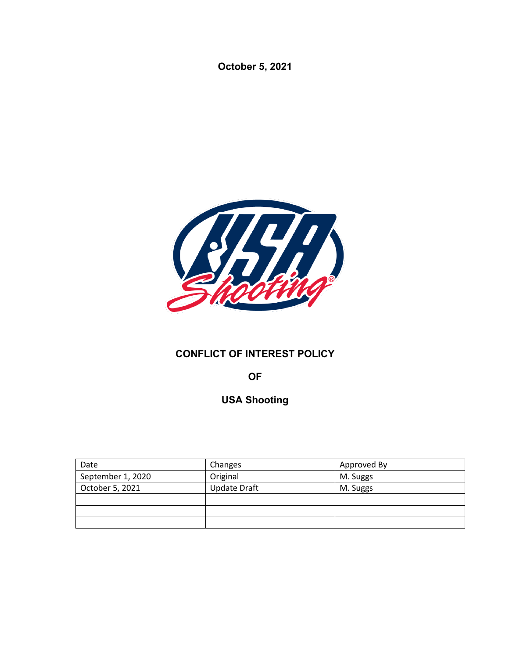**October 5, 2021**



# **CONFLICT OF INTEREST POLICY**

**OF**

**USA Shooting**

| Date              | Changes             | Approved By |
|-------------------|---------------------|-------------|
| September 1, 2020 | Original            | M. Suggs    |
| October 5, 2021   | <b>Update Draft</b> | M. Suggs    |
|                   |                     |             |
|                   |                     |             |
|                   |                     |             |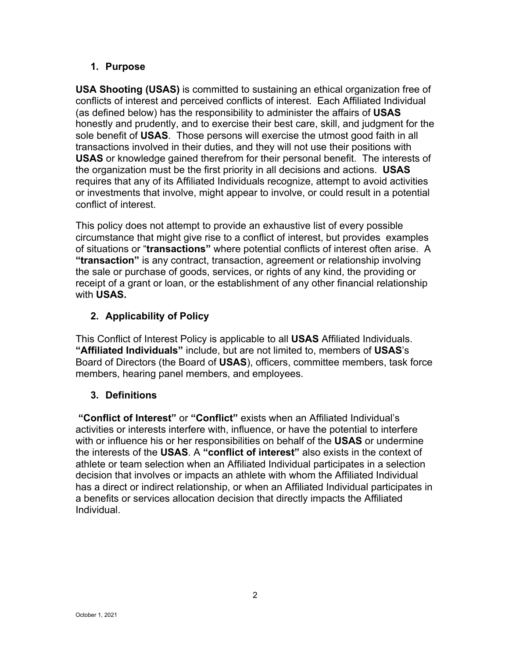## **1. Purpose**

**USA Shooting (USAS)** is committed to sustaining an ethical organization free of conflicts of interest and perceived conflicts of interest. Each Affiliated Individual (as defined below) has the responsibility to administer the affairs of **USAS** honestly and prudently, and to exercise their best care, skill, and judgment for the sole benefit of **USAS**. Those persons will exercise the utmost good faith in all transactions involved in their duties, and they will not use their positions with **USAS** or knowledge gained therefrom for their personal benefit. The interests of the organization must be the first priority in all decisions and actions. **USAS** requires that any of its Affiliated Individuals recognize, attempt to avoid activities or investments that involve, might appear to involve, or could result in a potential conflict of interest.

This policy does not attempt to provide an exhaustive list of every possible circumstance that might give rise to a conflict of interest, but provides examples of situations or "**transactions"** where potential conflicts of interest often arise. A **"transaction"** is any contract, transaction, agreement or relationship involving the sale or purchase of goods, services, or rights of any kind, the providing or receipt of a grant or loan, or the establishment of any other financial relationship with **USAS.**

# **2. Applicability of Policy**

This Conflict of Interest Policy is applicable to all **USAS** Affiliated Individuals. **"Affiliated Individuals"** include, but are not limited to, members of **USAS**'s Board of Directors (the Board of **USAS**), officers, committee members, task force members, hearing panel members, and employees.

## **3. Definitions**

**"Conflict of Interest"** or **"Conflict"** exists when an Affiliated Individual's activities or interests interfere with, influence, or have the potential to interfere with or influence his or her responsibilities on behalf of the **USAS** or undermine the interests of the **USAS**. A **"conflict of interest"** also exists in the context of athlete or team selection when an Affiliated Individual participates in a selection decision that involves or impacts an athlete with whom the Affiliated Individual has a direct or indirect relationship, or when an Affiliated Individual participates in a benefits or services allocation decision that directly impacts the Affiliated Individual.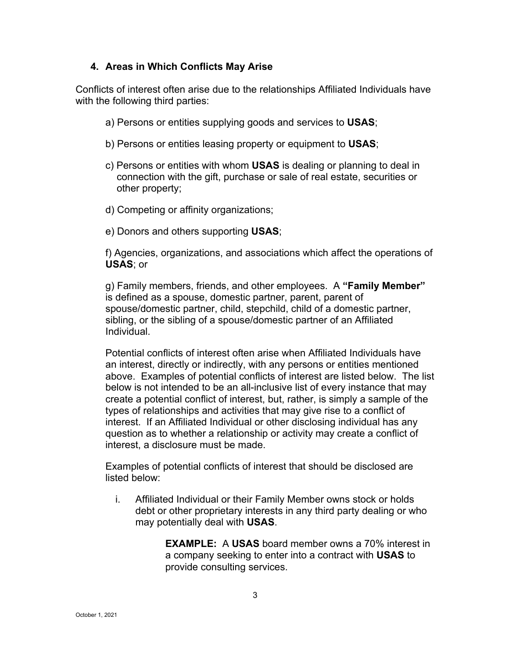#### **4. Areas in Which Conflicts May Arise**

Conflicts of interest often arise due to the relationships Affiliated Individuals have with the following third parties:

- a) Persons or entities supplying goods and services to **USAS**;
- b) Persons or entities leasing property or equipment to **USAS**;
- c) Persons or entities with whom **USAS** is dealing or planning to deal in connection with the gift, purchase or sale of real estate, securities or other property;
- d) Competing or affinity organizations;
- e) Donors and others supporting **USAS**;

f) Agencies, organizations, and associations which affect the operations of **USAS**; or

g) Family members, friends, and other employees. A **"Family Member"** is defined as a spouse, domestic partner, parent, parent of spouse/domestic partner, child, stepchild, child of a domestic partner, sibling, or the sibling of a spouse/domestic partner of an Affiliated Individual.

Potential conflicts of interest often arise when Affiliated Individuals have an interest, directly or indirectly, with any persons or entities mentioned above. Examples of potential conflicts of interest are listed below. The list below is not intended to be an all-inclusive list of every instance that may create a potential conflict of interest, but, rather, is simply a sample of the types of relationships and activities that may give rise to a conflict of interest. If an Affiliated Individual or other disclosing individual has any question as to whether a relationship or activity may create a conflict of interest, a disclosure must be made.

Examples of potential conflicts of interest that should be disclosed are listed below:

i. Affiliated Individual or their Family Member owns stock or holds debt or other proprietary interests in any third party dealing or who may potentially deal with **USAS**.

> **EXAMPLE:** A **USAS** board member owns a 70% interest in a company seeking to enter into a contract with **USAS** to provide consulting services.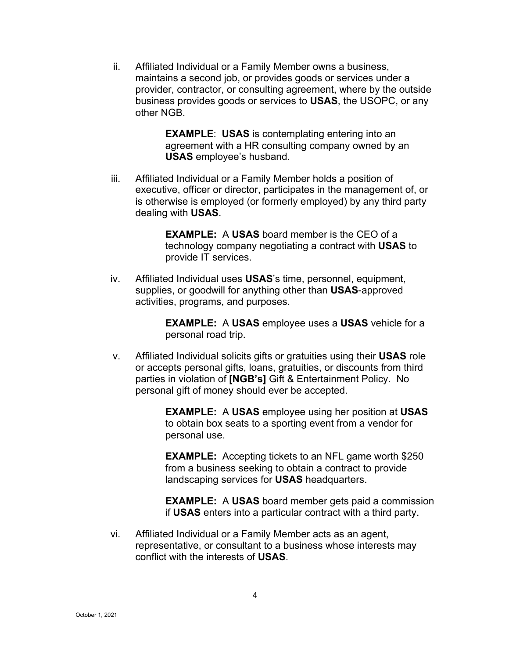ii. Affiliated Individual or a Family Member owns a business, maintains a second job, or provides goods or services under a provider, contractor, or consulting agreement, where by the outside business provides goods or services to **USAS**, the USOPC, or any other NGB.

> **EXAMPLE**: **USAS** is contemplating entering into an agreement with a HR consulting company owned by an **USAS** employee's husband.

iii. Affiliated Individual or a Family Member holds a position of executive, officer or director, participates in the management of, or is otherwise is employed (or formerly employed) by any third party dealing with **USAS**.

> **EXAMPLE:** A **USAS** board member is the CEO of a technology company negotiating a contract with **USAS** to provide IT services.

iv. Affiliated Individual uses **USAS**'s time, personnel, equipment, supplies, or goodwill for anything other than **USAS**-approved activities, programs, and purposes.

> **EXAMPLE:** A **USAS** employee uses a **USAS** vehicle for a personal road trip.

v. Affiliated Individual solicits gifts or gratuities using their **USAS** role or accepts personal gifts, loans, gratuities, or discounts from third parties in violation of **[NGB's]** Gift & Entertainment Policy. No personal gift of money should ever be accepted.

> **EXAMPLE:** A **USAS** employee using her position at **USAS** to obtain box seats to a sporting event from a vendor for personal use.

**EXAMPLE:** Accepting tickets to an NFL game worth \$250 from a business seeking to obtain a contract to provide landscaping services for **USAS** headquarters.

**EXAMPLE:** A **USAS** board member gets paid a commission if **USAS** enters into a particular contract with a third party.

vi. Affiliated Individual or a Family Member acts as an agent, representative, or consultant to a business whose interests may conflict with the interests of **USAS**.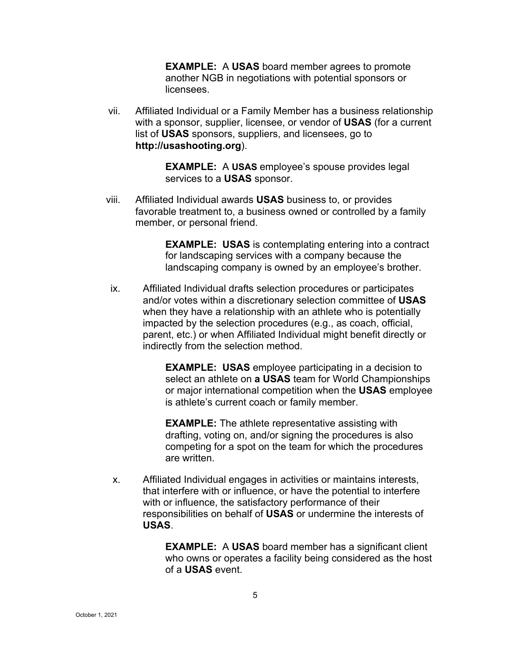**EXAMPLE:** A **USAS** board member agrees to promote another NGB in negotiations with potential sponsors or licensees.

vii. Affiliated Individual or a Family Member has a business relationship with a sponsor, supplier, licensee, or vendor of **USAS** (for a current list of **USAS** sponsors, suppliers, and licensees, go to **http://usashooting.org**).

> **EXAMPLE:** A **USAS** employee's spouse provides legal services to a **USAS** sponsor.

viii. Affiliated Individual awards **USAS** business to, or provides favorable treatment to, a business owned or controlled by a family member, or personal friend.

> **EXAMPLE: USAS** is contemplating entering into a contract for landscaping services with a company because the landscaping company is owned by an employee's brother.

ix. Affiliated Individual drafts selection procedures or participates and/or votes within a discretionary selection committee of **USAS** when they have a relationship with an athlete who is potentially impacted by the selection procedures (e.g., as coach, official, parent, etc.) or when Affiliated Individual might benefit directly or indirectly from the selection method.

> **EXAMPLE: USAS** employee participating in a decision to select an athlete on **a USAS** team for World Championships or major international competition when the **USAS** employee is athlete's current coach or family member.

**EXAMPLE:** The athlete representative assisting with drafting, voting on, and/or signing the procedures is also competing for a spot on the team for which the procedures are written.

x. Affiliated Individual engages in activities or maintains interests, that interfere with or influence, or have the potential to interfere with or influence, the satisfactory performance of their responsibilities on behalf of **USAS** or undermine the interests of **USAS**.

> **EXAMPLE:** A **USAS** board member has a significant client who owns or operates a facility being considered as the host of a **USAS** event.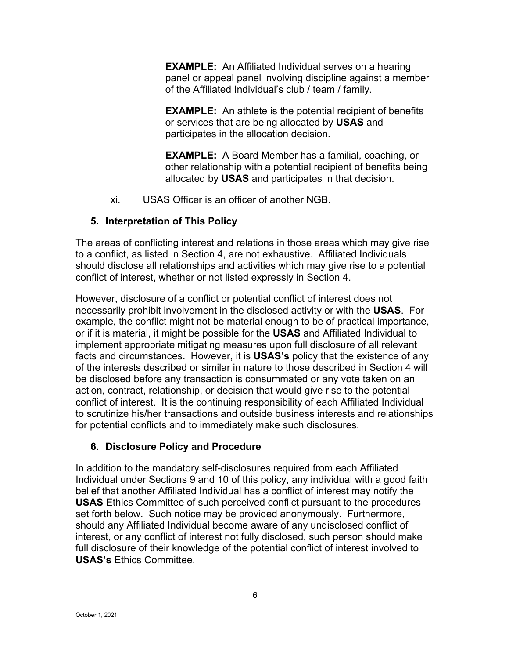**EXAMPLE:** An Affiliated Individual serves on a hearing panel or appeal panel involving discipline against a member of the Affiliated Individual's club / team / family.

**EXAMPLE:** An athlete is the potential recipient of benefits or services that are being allocated by **USAS** and participates in the allocation decision.

**EXAMPLE:** A Board Member has a familial, coaching, or other relationship with a potential recipient of benefits being allocated by **USAS** and participates in that decision.

xi. USAS Officer is an officer of another NGB.

### **5. Interpretation of This Policy**

The areas of conflicting interest and relations in those areas which may give rise to a conflict, as listed in Section 4, are not exhaustive. Affiliated Individuals should disclose all relationships and activities which may give rise to a potential conflict of interest, whether or not listed expressly in Section 4.

However, disclosure of a conflict or potential conflict of interest does not necessarily prohibit involvement in the disclosed activity or with the **USAS**. For example, the conflict might not be material enough to be of practical importance, or if it is material, it might be possible for the **USAS** and Affiliated Individual to implement appropriate mitigating measures upon full disclosure of all relevant facts and circumstances. However, it is **USAS's** policy that the existence of any of the interests described or similar in nature to those described in Section 4 will be disclosed before any transaction is consummated or any vote taken on an action, contract, relationship, or decision that would give rise to the potential conflict of interest. It is the continuing responsibility of each Affiliated Individual to scrutinize his/her transactions and outside business interests and relationships for potential conflicts and to immediately make such disclosures.

## **6. Disclosure Policy and Procedure**

In addition to the mandatory self-disclosures required from each Affiliated Individual under Sections 9 and 10 of this policy, any individual with a good faith belief that another Affiliated Individual has a conflict of interest may notify the **USAS** Ethics Committee of such perceived conflict pursuant to the procedures set forth below. Such notice may be provided anonymously. Furthermore, should any Affiliated Individual become aware of any undisclosed conflict of interest, or any conflict of interest not fully disclosed, such person should make full disclosure of their knowledge of the potential conflict of interest involved to **USAS's** Ethics Committee.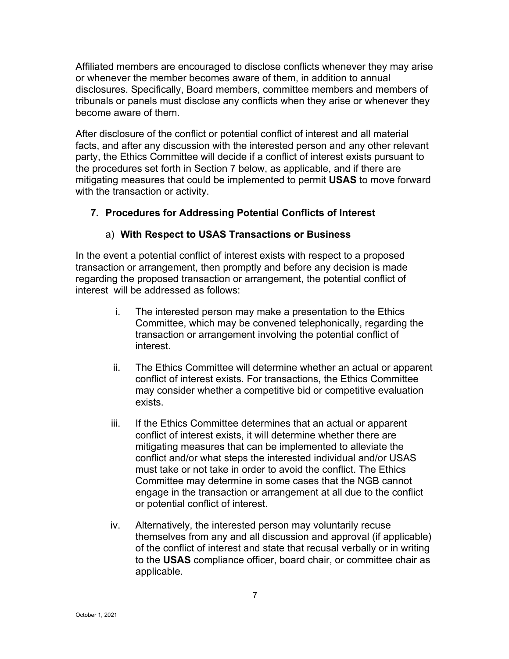Affiliated members are encouraged to disclose conflicts whenever they may arise or whenever the member becomes aware of them, in addition to annual disclosures. Specifically, Board members, committee members and members of tribunals or panels must disclose any conflicts when they arise or whenever they become aware of them.

After disclosure of the conflict or potential conflict of interest and all material facts, and after any discussion with the interested person and any other relevant party, the Ethics Committee will decide if a conflict of interest exists pursuant to the procedures set forth in Section 7 below, as applicable, and if there are mitigating measures that could be implemented to permit **USAS** to move forward with the transaction or activity.

### **7. Procedures for Addressing Potential Conflicts of Interest**

#### a) **With Respect to USAS Transactions or Business**

In the event a potential conflict of interest exists with respect to a proposed transaction or arrangement, then promptly and before any decision is made regarding the proposed transaction or arrangement, the potential conflict of interest will be addressed as follows:

- i. The interested person may make a presentation to the Ethics Committee, which may be convened telephonically, regarding the transaction or arrangement involving the potential conflict of interest.
- ii. The Ethics Committee will determine whether an actual or apparent conflict of interest exists. For transactions, the Ethics Committee may consider whether a competitive bid or competitive evaluation exists.
- iii. If the Ethics Committee determines that an actual or apparent conflict of interest exists, it will determine whether there are mitigating measures that can be implemented to alleviate the conflict and/or what steps the interested individual and/or USAS must take or not take in order to avoid the conflict. The Ethics Committee may determine in some cases that the NGB cannot engage in the transaction or arrangement at all due to the conflict or potential conflict of interest.
- iv. Alternatively, the interested person may voluntarily recuse themselves from any and all discussion and approval (if applicable) of the conflict of interest and state that recusal verbally or in writing to the **USAS** compliance officer, board chair, or committee chair as applicable.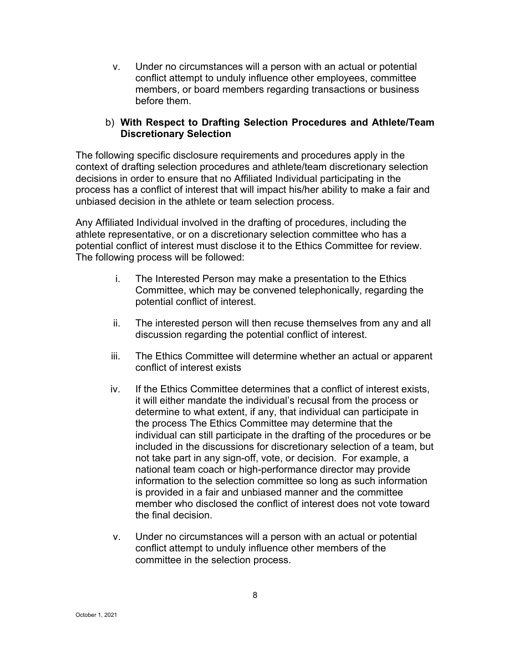v. Under no circumstances will a person with an actual or potential conflict attempt to unduly influence other employees, committee members, or board members regarding transactions or business before them.

#### b) **With Respect to Drafting Selection Procedures and Athlete/Team Discretionary Selection**

The following specific disclosure requirements and procedures apply in the context of drafting selection procedures and athlete/team discretionary selection decisions in order to ensure that no Affiliated Individual participating in the process has a conflict of interest that will impact his/her ability to make a fair and unbiased decision in the athlete or team selection process.

Any Affiliated Individual involved in the drafting of procedures, including the athlete representative, or on a discretionary selection committee who has a potential conflict of interest must disclose it to the Ethics Committee for review.  The following process will be followed:

- i. The Interested Person may make a presentation to the Ethics Committee, which may be convened telephonically, regarding the potential conflict of interest.
- ii. The interested person will then recuse themselves from any and all discussion regarding the potential conflict of interest.
- iii. The Ethics Committee will determine whether an actual or apparent conflict of interest exists
- iv. If the Ethics Committee determines that a conflict of interest exists, it will either mandate the individual's recusal from the process or determine to what extent, if any, that individual can participate in the process The Ethics Committee may determine that the individual can still participate in the drafting of the procedures or be included in the discussions for discretionary selection of a team, but not take part in any sign-off, vote, or decision. For example, a national team coach or high-performance director may provide information to the selection committee so long as such information is provided in a fair and unbiased manner and the committee member who disclosed the conflict of interest does not vote toward the final decision.
- v. Under no circumstances will a person with an actual or potential conflict attempt to unduly influence other members of the committee in the selection process.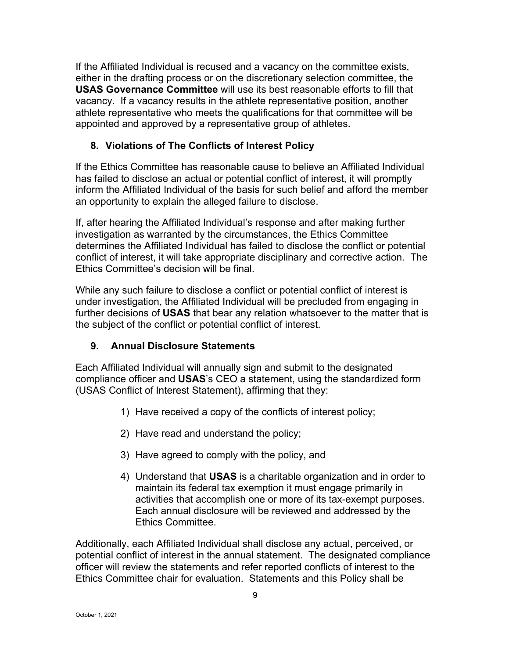If the Affiliated Individual is recused and a vacancy on the committee exists, either in the drafting process or on the discretionary selection committee, the **USAS Governance Committee** will use its best reasonable efforts to fill that vacancy. If a vacancy results in the athlete representative position, another athlete representative who meets the qualifications for that committee will be appointed and approved by a representative group of athletes.

## **8. Violations of The Conflicts of Interest Policy**

If the Ethics Committee has reasonable cause to believe an Affiliated Individual has failed to disclose an actual or potential conflict of interest, it will promptly inform the Affiliated Individual of the basis for such belief and afford the member an opportunity to explain the alleged failure to disclose.

If, after hearing the Affiliated Individual's response and after making further investigation as warranted by the circumstances, the Ethics Committee determines the Affiliated Individual has failed to disclose the conflict or potential conflict of interest, it will take appropriate disciplinary and corrective action. The Ethics Committee's decision will be final.

While any such failure to disclose a conflict or potential conflict of interest is under investigation, the Affiliated Individual will be precluded from engaging in further decisions of **USAS** that bear any relation whatsoever to the matter that is the subject of the conflict or potential conflict of interest.

#### **9. Annual Disclosure Statements**

Each Affiliated Individual will annually sign and submit to the designated compliance officer and **USAS**'s CEO a statement, using the standardized form (USAS Conflict of Interest Statement), affirming that they:

- 1) Have received a copy of the conflicts of interest policy;
- 2) Have read and understand the policy;
- 3) Have agreed to comply with the policy, and
- 4) Understand that **USAS** is a charitable organization and in order to maintain its federal tax exemption it must engage primarily in activities that accomplish one or more of its tax-exempt purposes. Each annual disclosure will be reviewed and addressed by the Ethics Committee.

Additionally, each Affiliated Individual shall disclose any actual, perceived, or potential conflict of interest in the annual statement. The designated compliance officer will review the statements and refer reported conflicts of interest to the Ethics Committee chair for evaluation. Statements and this Policy shall be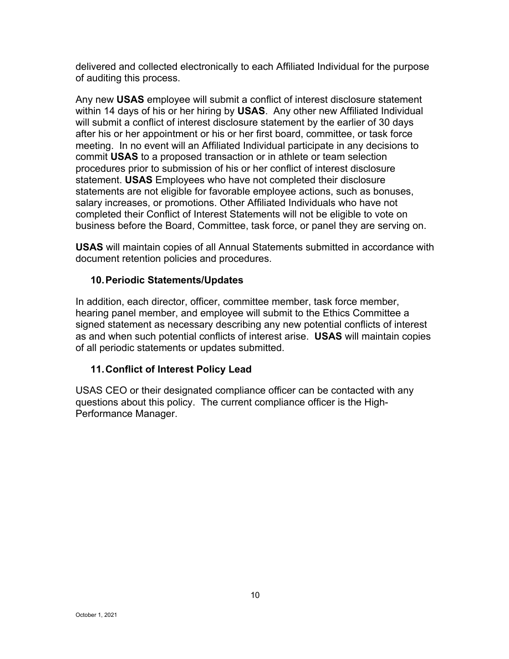delivered and collected electronically to each Affiliated Individual for the purpose of auditing this process.

Any new **USAS** employee will submit a conflict of interest disclosure statement within 14 days of his or her hiring by **USAS**. Any other new Affiliated Individual will submit a conflict of interest disclosure statement by the earlier of 30 days after his or her appointment or his or her first board, committee, or task force meeting. In no event will an Affiliated Individual participate in any decisions to commit **USAS** to a proposed transaction or in athlete or team selection procedures prior to submission of his or her conflict of interest disclosure statement. **USAS** Employees who have not completed their disclosure statements are not eligible for favorable employee actions, such as bonuses, salary increases, or promotions. Other Affiliated Individuals who have not completed their Conflict of Interest Statements will not be eligible to vote on business before the Board, Committee, task force, or panel they are serving on.

**USAS** will maintain copies of all Annual Statements submitted in accordance with document retention policies and procedures.

#### **10.Periodic Statements/Updates**

In addition, each director, officer, committee member, task force member, hearing panel member, and employee will submit to the Ethics Committee a signed statement as necessary describing any new potential conflicts of interest as and when such potential conflicts of interest arise. **USAS** will maintain copies of all periodic statements or updates submitted.

#### **11.Conflict of Interest Policy Lead**

USAS CEO or their designated compliance officer can be contacted with any questions about this policy. The current compliance officer is the High-Performance Manager.